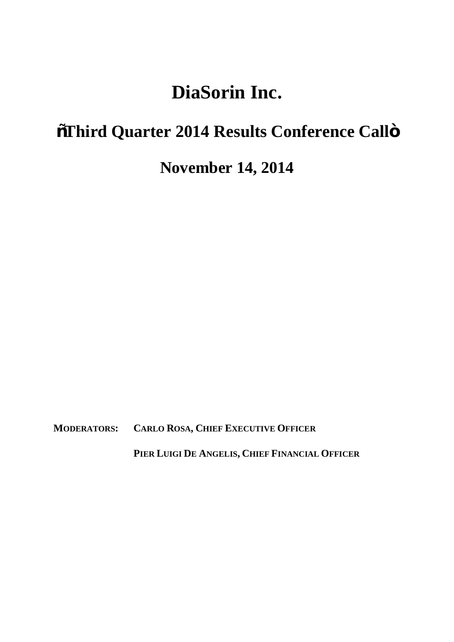# **DiaSorin Inc.**

## $\tilde{\text{o}}$ Third Quarter 2014 Results Conference Callö

### **November 14, 2014**

**MODERATORS: CARLO ROSA, CHIEF EXECUTIVE OFFICER**

**PIER LUIGI DE ANGELIS, CHIEF FINANCIAL OFFICER**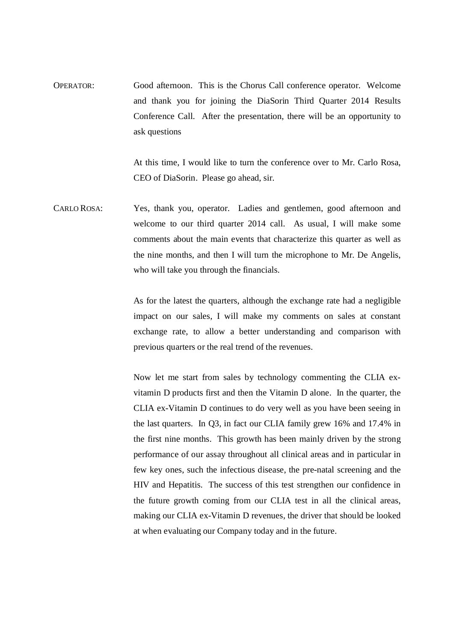OPERATOR: Good afternoon. This is the Chorus Call conference operator. Welcome and thank you for joining the DiaSorin Third Quarter 2014 Results Conference Call. After the presentation, there will be an opportunity to ask questions

> At this time, I would like to turn the conference over to Mr. Carlo Rosa, CEO of DiaSorin. Please go ahead, sir.

CARLO ROSA: Yes, thank you, operator. Ladies and gentlemen, good afternoon and welcome to our third quarter 2014 call. As usual, I will make some comments about the main events that characterize this quarter as well as the nine months, and then I will turn the microphone to Mr. De Angelis, who will take you through the financials.

> As for the latest the quarters, although the exchange rate had a negligible impact on our sales, I will make my comments on sales at constant exchange rate, to allow a better understanding and comparison with previous quarters or the real trend of the revenues.

> Now let me start from sales by technology commenting the CLIA exvitamin D products first and then the Vitamin D alone. In the quarter, the CLIA ex-Vitamin D continues to do very well as you have been seeing in the last quarters. In Q3, in fact our CLIA family grew 16% and 17.4% in the first nine months. This growth has been mainly driven by the strong performance of our assay throughout all clinical areas and in particular in few key ones, such the infectious disease, the pre-natal screening and the HIV and Hepatitis. The success of this test strengthen our confidence in the future growth coming from our CLIA test in all the clinical areas, making our CLIA ex-Vitamin D revenues, the driver that should be looked at when evaluating our Company today and in the future.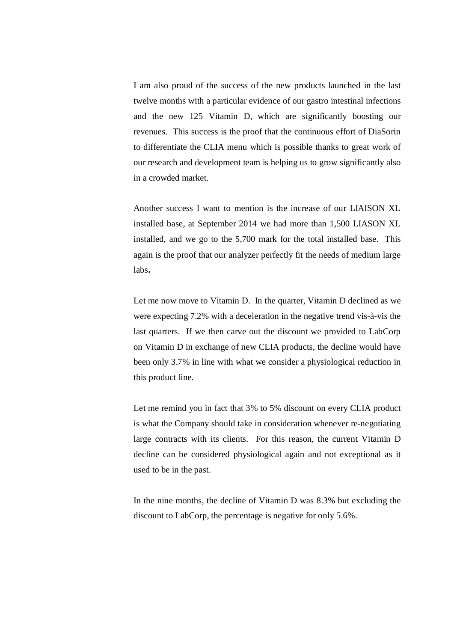I am also proud of the success of the new products launched in the last twelve months with a particular evidence of our gastro intestinal infections and the new 125 Vitamin D, which are significantly boosting our revenues. This success is the proof that the continuous effort of DiaSorin to differentiate the CLIA menu which is possible thanks to great work of our research and development team is helping us to grow significantly also in a crowded market.

Another success I want to mention is the increase of our LIAISON XL installed base, at September 2014 we had more than 1,500 LIASON XL installed, and we go to the 5,700 mark for the total installed base. This again is the proof that our analyzer perfectly fit the needs of medium large labs**.**

Let me now move to Vitamin D. In the quarter, Vitamin D declined as we were expecting 7.2% with a deceleration in the negative trend vis-à-vis the last quarters. If we then carve out the discount we provided to LabCorp on Vitamin D in exchange of new CLIA products, the decline would have been only 3.7% in line with what we consider a physiological reduction in this product line.

Let me remind you in fact that 3% to 5% discount on every CLIA product is what the Company should take in consideration whenever re-negotiating large contracts with its clients. For this reason, the current Vitamin D decline can be considered physiological again and not exceptional as it used to be in the past.

In the nine months, the decline of Vitamin D was 8.3% but excluding the discount to LabCorp, the percentage is negative for only 5.6%.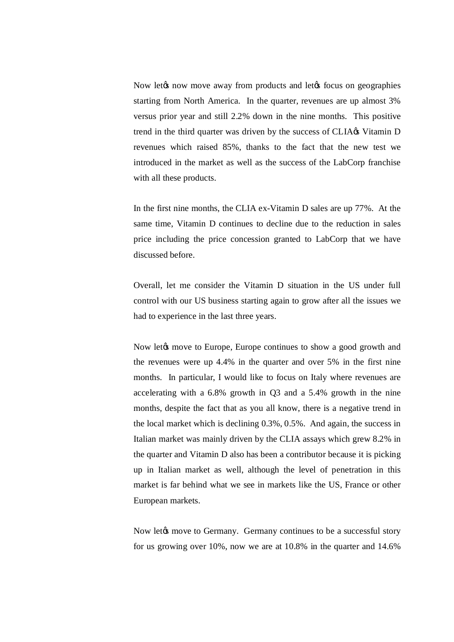Now let the now move away from products and let the focus on geographies starting from North America. In the quarter, revenues are up almost 3% versus prior year and still 2.2% down in the nine months. This positive trend in the third quarter was driven by the success of CLIA $\alpha$  Vitamin D revenues which raised 85%, thanks to the fact that the new test we introduced in the market as well as the success of the LabCorp franchise with all these products.

In the first nine months, the CLIA ex-Vitamin D sales are up 77%. At the same time, Vitamin D continues to decline due to the reduction in sales price including the price concession granted to LabCorp that we have discussed before.

Overall, let me consider the Vitamin D situation in the US under full control with our US business starting again to grow after all the issues we had to experience in the last three years.

Now let the move to Europe, Europe continues to show a good growth and the revenues were up 4.4% in the quarter and over 5% in the first nine months. In particular, I would like to focus on Italy where revenues are accelerating with a 6.8% growth in Q3 and a 5.4% growth in the nine months, despite the fact that as you all know, there is a negative trend in the local market which is declining 0.3%, 0.5%. And again, the success in Italian market was mainly driven by the CLIA assays which grew 8.2% in the quarter and Vitamin D also has been a contributor because it is picking up in Italian market as well, although the level of penetration in this market is far behind what we see in markets like the US, France or other European markets.

Now let to move to Germany. Germany continues to be a successful story for us growing over 10%, now we are at 10.8% in the quarter and 14.6%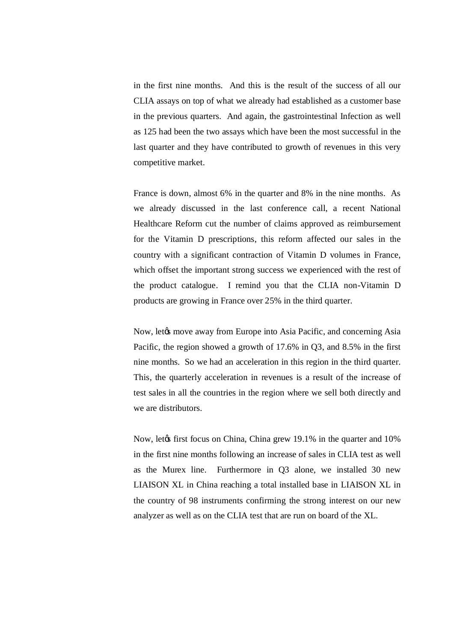in the first nine months. And this is the result of the success of all our CLIA assays on top of what we already had established as a customer base in the previous quarters. And again, the gastrointestinal Infection as well as 125 had been the two assays which have been the most successful in the last quarter and they have contributed to growth of revenues in this very competitive market.

France is down, almost 6% in the quarter and 8% in the nine months. As we already discussed in the last conference call, a recent National Healthcare Reform cut the number of claims approved as reimbursement for the Vitamin D prescriptions, this reform affected our sales in the country with a significant contraction of Vitamin D volumes in France, which offset the important strong success we experienced with the rest of the product catalogue. I remind you that the CLIA non-Vitamin D products are growing in France over 25% in the third quarter.

Now, let the move away from Europe into Asia Pacific, and concerning Asia Pacific, the region showed a growth of 17.6% in Q3, and 8.5% in the first nine months. So we had an acceleration in this region in the third quarter. This, the quarterly acceleration in revenues is a result of the increase of test sales in all the countries in the region where we sell both directly and we are distributors.

Now, let first focus on China, China grew 19.1% in the quarter and 10% in the first nine months following an increase of sales in CLIA test as well as the Murex line. Furthermore in Q3 alone, we installed 30 new LIAISON XL in China reaching a total installed base in LIAISON XL in the country of 98 instruments confirming the strong interest on our new analyzer as well as on the CLIA test that are run on board of the XL.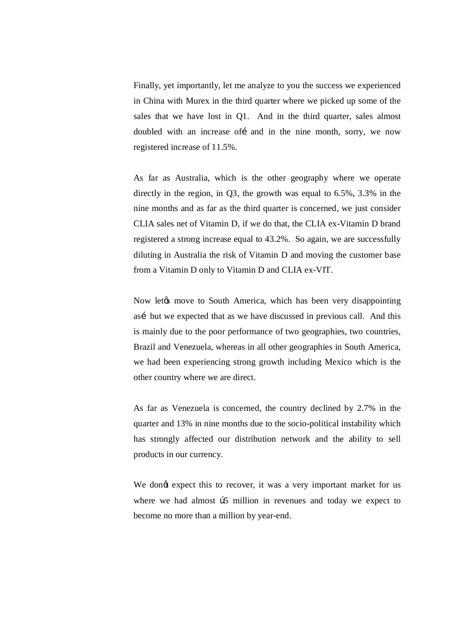Finally, yet importantly, let me analyze to you the success we experienced in China with Murex in the third quarter where we picked up some of the sales that we have lost in Q1. And in the third quarter, sales almost doubled with an increase of and in the nine month, sorry, we now registered increase of 11.5%.

As far as Australia, which is the other geography where we operate directly in the region, in Q3, the growth was equal to 6.5%, 3.3% in the nine months and as far as the third quarter is concerned, we just consider CLIA sales net of Vitamin D, if we do that, the CLIA ex-Vitamin D brand registered a strong increase equal to 43.2%. So again, we are successfully diluting in Australia the risk of Vitamin D and moving the customer base from a Vitamin D only to Vitamin D and CLIA ex-VIT.

Now let the move to South America, which has been very disappointing así but we expected that as we have discussed in previous call. And this is mainly due to the poor performance of two geographies, two countries, Brazil and Venezuela, whereas in all other geographies in South America, we had been experiencing strong growth including Mexico which is the other country where we are direct.

As far as Venezuela is concerned, the country declined by 2.7% in the quarter and 13% in nine months due to the socio-political instability which has strongly affected our distribution network and the ability to sell products in our currency.

We dongt expect this to recover, it was a very important market for us where we had almost  $\beta$ 5 million in revenues and today we expect to become no more than a million by year-end.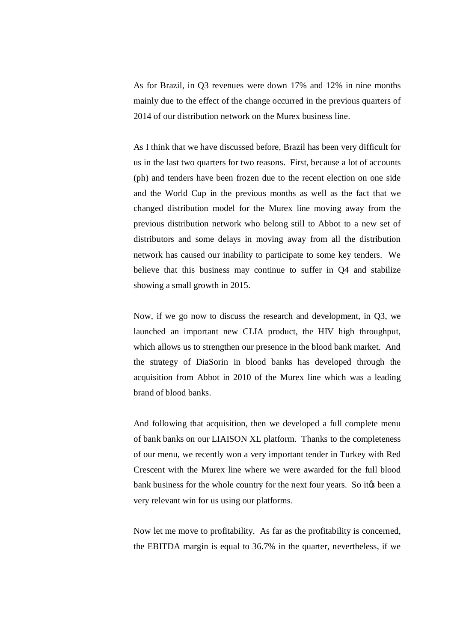As for Brazil, in Q3 revenues were down 17% and 12% in nine months mainly due to the effect of the change occurred in the previous quarters of 2014 of our distribution network on the Murex business line.

As I think that we have discussed before, Brazil has been very difficult for us in the last two quarters for two reasons. First, because a lot of accounts (ph) and tenders have been frozen due to the recent election on one side and the World Cup in the previous months as well as the fact that we changed distribution model for the Murex line moving away from the previous distribution network who belong still to Abbot to a new set of distributors and some delays in moving away from all the distribution network has caused our inability to participate to some key tenders. We believe that this business may continue to suffer in Q4 and stabilize showing a small growth in 2015.

Now, if we go now to discuss the research and development, in Q3, we launched an important new CLIA product, the HIV high throughput, which allows us to strengthen our presence in the blood bank market. And the strategy of DiaSorin in blood banks has developed through the acquisition from Abbot in 2010 of the Murex line which was a leading brand of blood banks.

And following that acquisition, then we developed a full complete menu of bank banks on our LIAISON XL platform. Thanks to the completeness of our menu, we recently won a very important tender in Turkey with Red Crescent with the Murex line where we were awarded for the full blood bank business for the whole country for the next four years. So it to been a very relevant win for us using our platforms.

Now let me move to profitability. As far as the profitability is concerned, the EBITDA margin is equal to 36.7% in the quarter, nevertheless, if we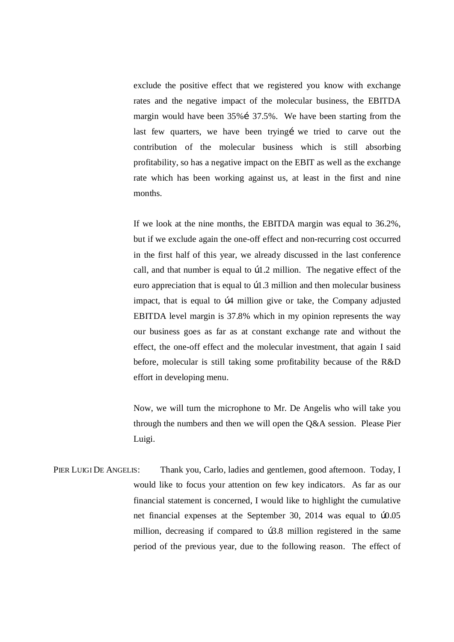exclude the positive effect that we registered you know with exchange rates and the negative impact of the molecular business, the EBITDA margin would have been  $35\%$  i  $37.5\%$ . We have been starting from the last few quarters, we have been tryingi we tried to carve out the contribution of the molecular business which is still absorbing profitability, so has a negative impact on the EBIT as well as the exchange rate which has been working against us, at least in the first and nine months.

If we look at the nine months, the EBITDA margin was equal to 36.2%, but if we exclude again the one-off effect and non-recurring cost occurred in the first half of this year, we already discussed in the last conference call, and that number is equal to  $\beta$ 1.2 million. The negative effect of the euro appreciation that is equal to  $\beta$ 1.3 million and then molecular business impact, that is equal to  $\beta$ 4 million give or take, the Company adjusted EBITDA level margin is 37.8% which in my opinion represents the way our business goes as far as at constant exchange rate and without the effect, the one-off effect and the molecular investment, that again I said before, molecular is still taking some profitability because of the R&D effort in developing menu.

Now, we will turn the microphone to Mr. De Angelis who will take you through the numbers and then we will open the Q&A session. Please Pier Luigi.

PIER LUIGI DE ANGELIS: Thank you, Carlo, ladies and gentlemen, good afternoon. Today, I would like to focus your attention on few key indicators. As far as our financial statement is concerned, I would like to highlight the cumulative net financial expenses at the September 30, 2014 was equal to  $b0.05$ million, decreasing if compared to b3.8 million registered in the same period of the previous year, due to the following reason. The effect of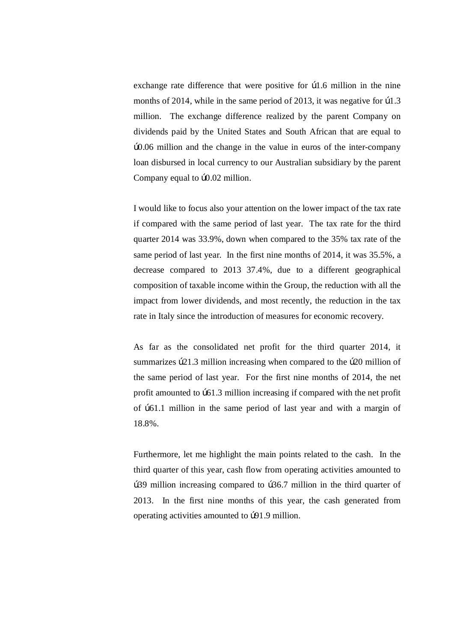exchange rate difference that were positive for  $\beta$ 1.6 million in the nine months of 2014, while in the same period of 2013, it was negative for  $\beta$ 1.3 million. The exchange difference realized by the parent Company on dividends paid by the United States and South African that are equal to €0.06 million and the change in the value in euros of the inter-company loan disbursed in local currency to our Australian subsidiary by the parent Company equal to  $b0.02$  million.

I would like to focus also your attention on the lower impact of the tax rate if compared with the same period of last year. The tax rate for the third quarter 2014 was 33.9%, down when compared to the 35% tax rate of the same period of last year. In the first nine months of 2014, it was 35.5%, a decrease compared to 2013 37.4%, due to a different geographical composition of taxable income within the Group, the reduction with all the impact from lower dividends, and most recently, the reduction in the tax rate in Italy since the introduction of measures for economic recovery.

As far as the consolidated net profit for the third quarter 2014, it summarizes  $\beta$ 21.3 million increasing when compared to the  $\beta$ 20 million of the same period of last year. For the first nine months of 2014, the net profit amounted to  $\beta$ 61.3 million increasing if compared with the net profit of  $\beta$ 61.1 million in the same period of last year and with a margin of 18.8%.

Furthermore, let me highlight the main points related to the cash. In the third quarter of this year, cash flow from operating activities amounted to b39 million increasing compared to b36.7 million in the third quarter of 2013. In the first nine months of this year, the cash generated from operating activities amounted to b91.9 million.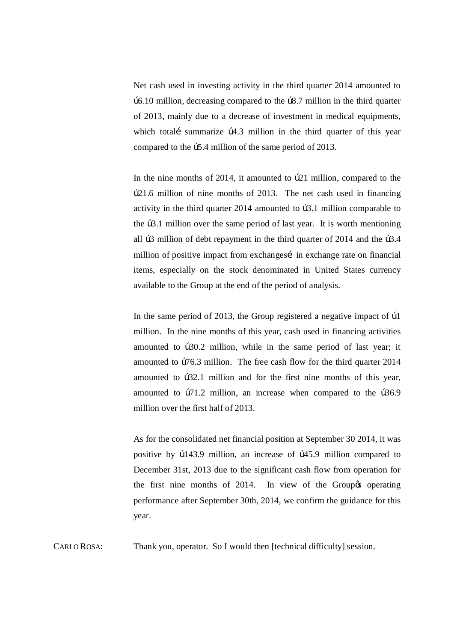Net cash used in investing activity in the third quarter 2014 amounted to  $\beta$ 6.10 million, decreasing compared to the  $\beta$ 8.7 million in the third quarter of 2013, mainly due to a decrease of investment in medical equipments, which totali summarize  $\beta$ 4.3 million in the third quarter of this year compared to the  $\beta$ 5.4 million of the same period of 2013.

In the nine months of  $2014$ , it amounted to  $b21$  million, compared to the €21.6 million of nine months of 2013. The net cash used in financing activity in the third quarter  $2014$  amounted to  $\beta$ .1 million comparable to the  $\beta$ 3.1 million over the same period of last year. It is worth mentioning all  $\beta$ 3 million of debt repayment in the third quarter of 2014 and the  $\beta$ 3.4 million of positive impact from exchanges in exchange rate on financial items, especially on the stock denominated in United States currency available to the Group at the end of the period of analysis.

In the same period of 2013, the Group registered a negative impact of  $\beta$ 1 million. In the nine months of this year, cash used in financing activities amounted to b30.2 million, while in the same period of last year; it amounted to  $b76.3$  million. The free cash flow for the third quarter 2014 amounted to  $b32.1$  million and for the first nine months of this year, amounted to  $b71.2$  million, an increase when compared to the  $b36.9$ million over the first half of 2013.

As for the consolidated net financial position at September 30 2014, it was positive by  $b143.9$  million, an increase of  $b45.9$  million compared to December 31st, 2013 due to the significant cash flow from operation for the first nine months of 2014. In view of the Group to operating performance after September 30th, 2014, we confirm the guidance for this year.

CARLO ROSA: Thank you, operator. So I would then [technical difficulty] session.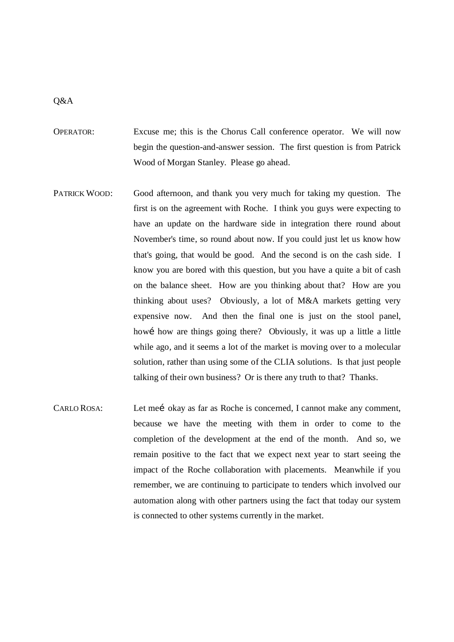### Q&A

- OPERATOR: Excuse me; this is the Chorus Call conference operator. We will now begin the question-and-answer session. The first question is from Patrick Wood of Morgan Stanley. Please go ahead.
- PATRICK WOOD: Good afternoon, and thank you very much for taking my question. The first is on the agreement with Roche. I think you guys were expecting to have an update on the hardware side in integration there round about November's time, so round about now. If you could just let us know how that's going, that would be good. And the second is on the cash side. I know you are bored with this question, but you have a quite a bit of cash on the balance sheet. How are you thinking about that? How are you thinking about uses? Obviously, a lot of M&A markets getting very expensive now. And then the final one is just on the stool panel, how i how are things going there? Obviously, it was up a little a little while ago, and it seems a lot of the market is moving over to a molecular solution, rather than using some of the CLIA solutions. Is that just people talking of their own business? Or is there any truth to that? Thanks.
- CARLO ROSA: Let mei okay as far as Roche is concerned, I cannot make any comment, because we have the meeting with them in order to come to the completion of the development at the end of the month. And so, we remain positive to the fact that we expect next year to start seeing the impact of the Roche collaboration with placements. Meanwhile if you remember, we are continuing to participate to tenders which involved our automation along with other partners using the fact that today our system is connected to other systems currently in the market.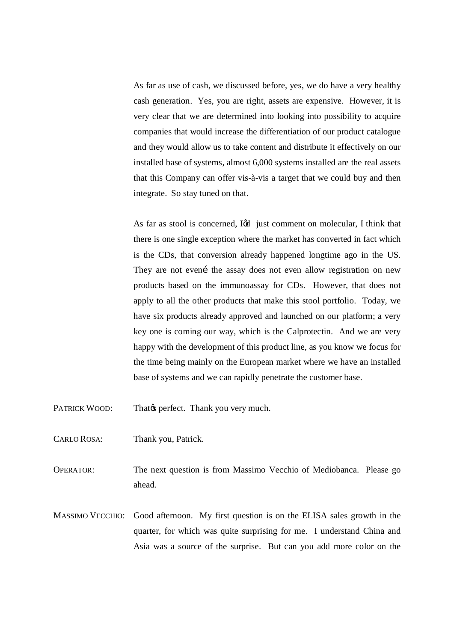As far as use of cash, we discussed before, yes, we do have a very healthy cash generation. Yes, you are right, assets are expensive. However, it is very clear that we are determined into looking into possibility to acquire companies that would increase the differentiation of our product catalogue and they would allow us to take content and distribute it effectively on our installed base of systems, almost 6,000 systems installed are the real assets that this Company can offer vis-à-vis a target that we could buy and then integrate. So stay tuned on that.

As far as stool is concerned, I& just comment on molecular, I think that there is one single exception where the market has converted in fact which is the CDs, that conversion already happened longtime ago in the US. They are not even the assay does not even allow registration on new products based on the immunoassay for CDs. However, that does not apply to all the other products that make this stool portfolio. Today, we have six products already approved and launched on our platform; a very key one is coming our way, which is the Calprotectin. And we are very happy with the development of this product line, as you know we focus for the time being mainly on the European market where we have an installed base of systems and we can rapidly penetrate the customer base.

- PATRICK WOOD: That  $\emptyset$  perfect. Thank you very much.
- CARLO ROSA: Thank you, Patrick.

OPERATOR: The next question is from Massimo Vecchio of Mediobanca. Please go ahead.

MASSIMO VECCHIO: Good afternoon. My first question is on the ELISA sales growth in the quarter, for which was quite surprising for me. I understand China and Asia was a source of the surprise. But can you add more color on the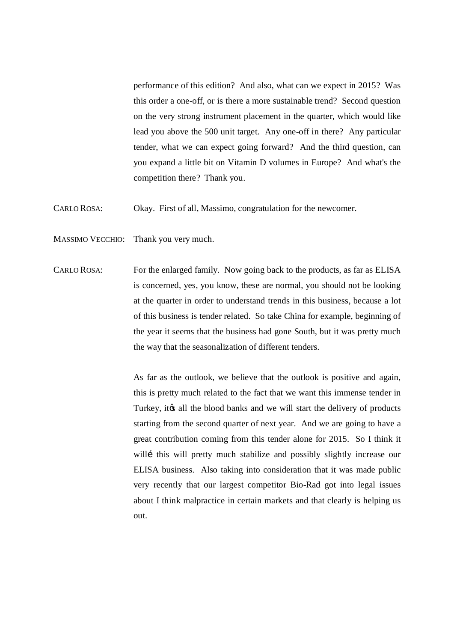performance of this edition? And also, what can we expect in 2015? Was this order a one-off, or is there a more sustainable trend? Second question on the very strong instrument placement in the quarter, which would like lead you above the 500 unit target. Any one-off in there? Any particular tender, what we can expect going forward? And the third question, can you expand a little bit on Vitamin D volumes in Europe? And what's the competition there? Thank you.

CARLO ROSA: Okay. First of all, Massimo, congratulation for the newcomer.

- MASSIMO VECCHIO: Thank you very much.
- CARLO ROSA: For the enlarged family. Now going back to the products, as far as ELISA is concerned, yes, you know, these are normal, you should not be looking at the quarter in order to understand trends in this business, because a lot of this business is tender related. So take China for example, beginning of the year it seems that the business had gone South, but it was pretty much the way that the seasonalization of different tenders.

As far as the outlook, we believe that the outlook is positive and again, this is pretty much related to the fact that we want this immense tender in Turkey, it is all the blood banks and we will start the delivery of products starting from the second quarter of next year. And we are going to have a great contribution coming from this tender alone for 2015. So I think it willi this will pretty much stabilize and possibly slightly increase our ELISA business. Also taking into consideration that it was made public very recently that our largest competitor Bio-Rad got into legal issues about I think malpractice in certain markets and that clearly is helping us out.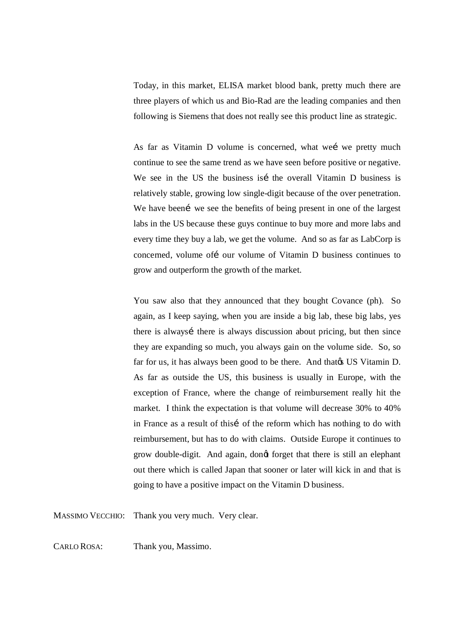Today, in this market, ELISA market blood bank, pretty much there are three players of which us and Bio-Rad are the leading companies and then following is Siemens that does not really see this product line as strategic.

As far as Vitamin D volume is concerned, what wei we pretty much continue to see the same trend as we have seen before positive or negative. We see in the US the business is the overall Vitamin D business is relatively stable, growing low single-digit because of the over penetration. We have been we see the benefits of being present in one of the largest labs in the US because these guys continue to buy more and more labs and every time they buy a lab, we get the volume. And so as far as LabCorp is concerned, volume of i our volume of Vitamin D business continues to grow and outperform the growth of the market.

You saw also that they announced that they bought Covance (ph). So again, as I keep saying, when you are inside a big lab, these big labs, yes there is always there is always discussion about pricing, but then since they are expanding so much, you always gain on the volume side. So, so far for us, it has always been good to be there. And that that US Vitamin D. As far as outside the US, this business is usually in Europe, with the exception of France, where the change of reimbursement really hit the market. I think the expectation is that volume will decrease 30% to 40% in France as a result of thisi of the reform which has nothing to do with reimbursement, but has to do with claims. Outside Europe it continues to grow double-digit. And again, dongt forget that there is still an elephant out there which is called Japan that sooner or later will kick in and that is going to have a positive impact on the Vitamin D business.

MASSIMO VECCHIO: Thank you very much. Very clear.

CARLO ROSA: Thank you, Massimo.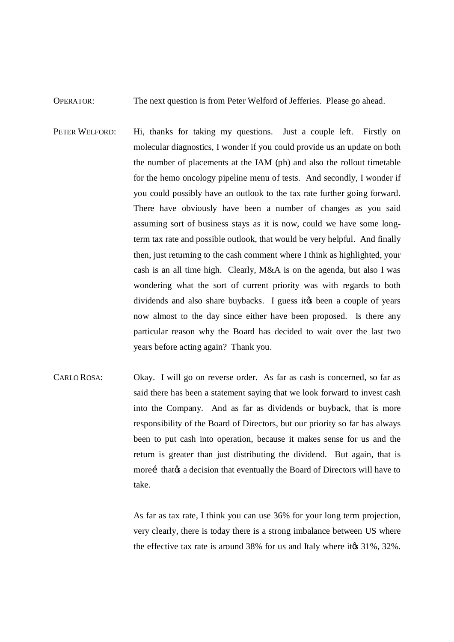### OPERATOR: The next question is from Peter Welford of Jefferies. Please go ahead.

- PETER WELFORD: Hi, thanks for taking my questions. Just a couple left. Firstly on molecular diagnostics, I wonder if you could provide us an update on both the number of placements at the IAM (ph) and also the rollout timetable for the hemo oncology pipeline menu of tests. And secondly, I wonder if you could possibly have an outlook to the tax rate further going forward. There have obviously have been a number of changes as you said assuming sort of business stays as it is now, could we have some longterm tax rate and possible outlook, that would be very helpful. And finally then, just returning to the cash comment where I think as highlighted, your cash is an all time high. Clearly, M&A is on the agenda, but also I was wondering what the sort of current priority was with regards to both dividends and also share buybacks. I guess it to been a couple of years now almost to the day since either have been proposed. Is there any particular reason why the Board has decided to wait over the last two years before acting again? Thank you.
- CARLO ROSA: Okay. I will go on reverse order. As far as cash is concerned, so far as said there has been a statement saying that we look forward to invest cash into the Company. And as far as dividends or buyback, that is more responsibility of the Board of Directors, but our priority so far has always been to put cash into operation, because it makes sense for us and the return is greater than just distributing the dividend. But again, that is morei that that is a decision that eventually the Board of Directors will have to take.

As far as tax rate, I think you can use 36% for your long term projection, very clearly, there is today there is a strong imbalance between US where the effective tax rate is around  $38\%$  for us and Italy where it $\alpha$  31%,  $32\%$ .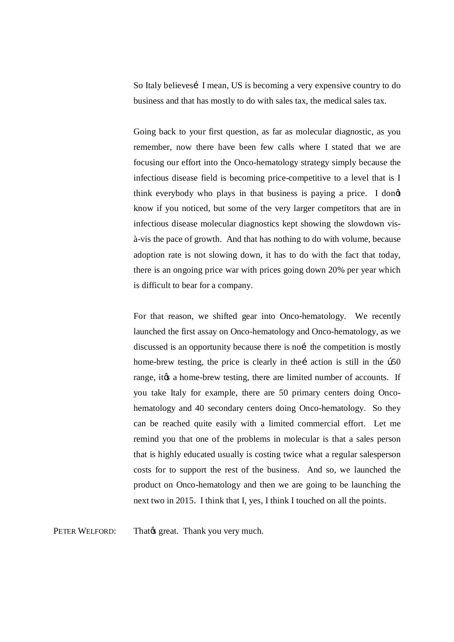So Italy believes I mean, US is becoming a very expensive country to do business and that has mostly to do with sales tax, the medical sales tax.

Going back to your first question, as far as molecular diagnostic, as you remember, now there have been few calls where I stated that we are focusing our effort into the Onco-hematology strategy simply because the infectious disease field is becoming price-competitive to a level that is I think everybody who plays in that business is paying a price. I dong know if you noticed, but some of the very larger competitors that are in infectious disease molecular diagnostics kept showing the slowdown visà-vis the pace of growth. And that has nothing to do with volume, because adoption rate is not slowing down, it has to do with the fact that today, there is an ongoing price war with prices going down 20% per year which is difficult to bear for a company.

For that reason, we shifted gear into Onco-hematology. We recently launched the first assay on Onco-hematology and Onco-hematology, as we discussed is an opportunity because there is not the competition is mostly home-brew testing, the price is clearly in the action is still in the  $\beta$ 50 range, it a home-brew testing, there are limited number of accounts. If you take Italy for example, there are 50 primary centers doing Oncohematology and 40 secondary centers doing Onco-hematology. So they can be reached quite easily with a limited commercial effort. Let me remind you that one of the problems in molecular is that a sales person that is highly educated usually is costing twice what a regular salesperson costs for to support the rest of the business. And so, we launched the product on Onco-hematology and then we are going to be launching the next two in 2015. I think that I, yes, I think I touched on all the points.

PETER WELFORD: That great. Thank you very much.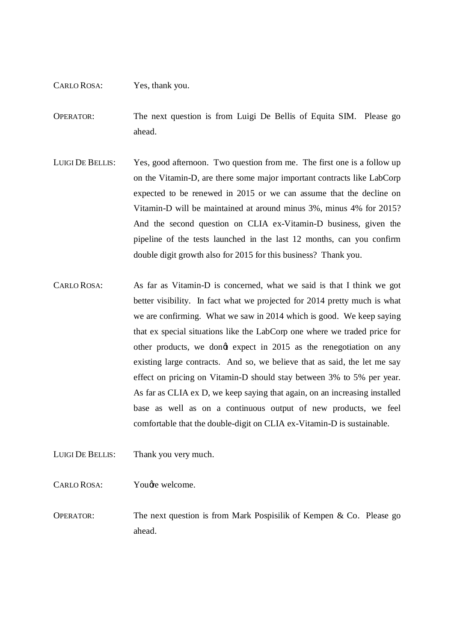#### CARLO ROSA: Yes, thank you.

OPERATOR: The next question is from Luigi De Bellis of Equita SIM. Please go ahead.

- LUIGI DE BELLIS: Yes, good afternoon. Two question from me. The first one is a follow up on the Vitamin-D, are there some major important contracts like LabCorp expected to be renewed in 2015 or we can assume that the decline on Vitamin-D will be maintained at around minus 3%, minus 4% for 2015? And the second question on CLIA ex-Vitamin-D business, given the pipeline of the tests launched in the last 12 months, can you confirm double digit growth also for 2015 for this business? Thank you.
- CARLO ROSA: As far as Vitamin-D is concerned, what we said is that I think we got better visibility. In fact what we projected for 2014 pretty much is what we are confirming. What we saw in 2014 which is good. We keep saying that ex special situations like the LabCorp one where we traded price for other products, we dongt expect in 2015 as the renegotiation on any existing large contracts. And so, we believe that as said, the let me say effect on pricing on Vitamin-D should stay between 3% to 5% per year. As far as CLIA ex D, we keep saying that again, on an increasing installed base as well as on a continuous output of new products, we feel comfortable that the double-digit on CLIA ex-Vitamin-D is sustainable.
- LUIGI DE BELLIS: Thank you very much.
- CARLO ROSA: You *d*re welcome.
- OPERATOR: The next question is from Mark Pospisilik of Kempen & Co. Please go ahead.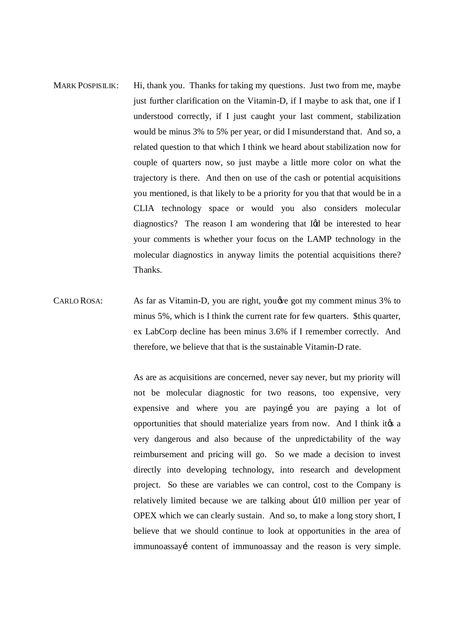- MARK POSPISILIK: Hi, thank you. Thanks for taking my questions. Just two from me, maybe just further clarification on the Vitamin-D, if I maybe to ask that, one if I understood correctly, if I just caught your last comment, stabilization would be minus 3% to 5% per year, or did I misunderstand that. And so, a related question to that which I think we heard about stabilization now for couple of quarters now, so just maybe a little more color on what the trajectory is there. And then on use of the cash or potential acquisitions you mentioned, is that likely to be a priority for you that that would be in a CLIA technology space or would you also considers molecular diagnostics? The reason I am wondering that I $\alpha$  be interested to hear your comments is whether your focus on the LAMP technology in the molecular diagnostics in anyway limits the potential acquisitions there? Thanks.
- CARLO ROSA: As far as Vitamin-D, you are right, you we got my comment minus 3% to minus 5%, which is I think the current rate for few quarters. \$this quarter, ex LabCorp decline has been minus 3.6% if I remember correctly. And therefore, we believe that that is the sustainable Vitamin-D rate.

As are as acquisitions are concerned, never say never, but my priority will not be molecular diagnostic for two reasons, too expensive, very expensive and where you are paying you are paying a lot of opportunities that should materialize years from now. And I think it to a very dangerous and also because of the unpredictability of the way reimbursement and pricing will go. So we made a decision to invest directly into developing technology, into research and development project. So these are variables we can control, cost to the Company is relatively limited because we are talking about  $b10$  million per year of OPEX which we can clearly sustain. And so, to make a long story short, I believe that we should continue to look at opportunities in the area of immunoassayí content of immunoassay and the reason is very simple.